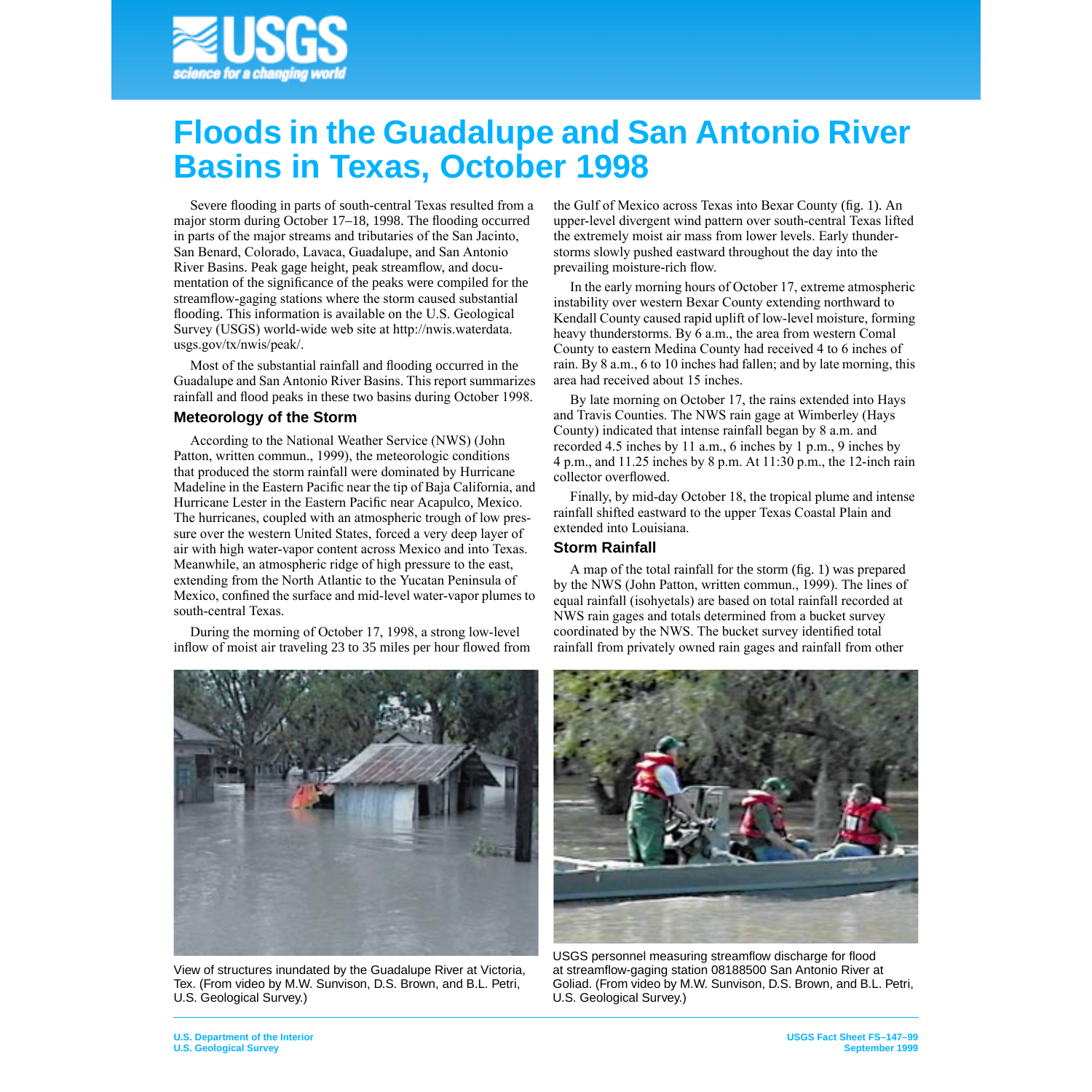

# **Floods in the Guadalupe and San Antonio River Basins in Texas, October 1998**

Severe flooding in parts of south-central Texas resulted from a major storm during October 17–18, 1998. The flooding occurred in parts of the major streams and tributaries of the San Jacinto, San Benard, Colorado, Lavaca, Guadalupe, and San Antonio River Basins. Peak gage height, peak streamflow, and documentation of the significance of the peaks were compiled for the streamflow-gaging stations where the storm caused substantial flooding. This information is available on the U.S. Geological Survey (USGS) world-wide web site at [http://nwis.waterdata.](http://nwis.waterdata.usgs.gov/tx/nwis/peak) [usgs.gov/tx/nwis/peak/.](http://nwis.waterdata.usgs.gov/tx/nwis/peak)

Most of the substantial rainfall and flooding occurred in the Guadalupe and San Antonio River Basins. This report summarizes rainfall and flood peaks in these two basins during October 1998.

## **Meteorology of the Storm**

According to the National Weather Service (NWS) (John Patton, written commun., 1999), the meteorologic conditions that produced the storm rainfall were dominated by Hurricane Madeline in the Eastern Pacific near the tip of Baja California, and Hurricane Lester in the Eastern Pacific near Acapulco, Mexico. The hurricanes, coupled with an atmospheric trough of low pressure over the western United States, forced a very deep layer of air with high water-vapor content across Mexico and into Texas. Meanwhile, an atmospheric ridge of high pressure to the east, extending from the North Atlantic to the Yucatan Peninsula of Mexico, confined the surface and mid-level water-vapor plumes to south-central Texas.

During the morning of October 17, 1998, a strong low-level inflow of moist air traveling 23 to 35 miles per hour flowed from



View of structures inundated by the Guadalupe River at Victoria, Tex. (From video by M.W. Sunvison, D.S. Brown, and B.L. Petri, U.S. Geological Survey.)

the Gulf of Mexico across Texas into Bexar County (fig. 1). An upper-level divergent wind pattern over south-central Texas lifted the extremely moist air mass from lower levels. Early thunderstorms slowly pushed eastward throughout the day into the prevailing moisture-rich flow.

In the early morning hours of October 17, extreme atmospheric instability over western Bexar County extending northward to Kendall County caused rapid uplift of low-level moisture, forming heavy thunderstorms. By 6 a.m., the area from western Comal County to eastern Medina County had received 4 to 6 inches of rain. By 8 a.m., 6 to 10 inches had fallen; and by late morning, this area had received about 15 inches.

By late morning on October 17, the rains extended into Hays and Travis Counties. The NWS rain gage at Wimberley (Hays County) indicated that intense rainfall began by 8 a.m. and recorded 4.5 inches by 11 a.m., 6 inches by 1 p.m., 9 inches by 4 p.m., and 11.25 inches by 8 p.m. At 11:30 p.m., the 12-inch rain collector overflowed.

Finally, by mid-day October 18, the tropical plume and intense rainfall shifted eastward to the upper Texas Coastal Plain and extended into Louisiana.

## **Storm Rainfall**

A map of the total rainfall for the storm (fig. 1) was prepared by the NWS (John Patton, written commun., 1999). The lines of equal rainfall (isohyetals) are based on total rainfall recorded at NWS rain gages and totals determined from a bucket survey coordinated by the NWS. The bucket survey identified total rainfall from privately owned rain gages and rainfall from other



USGS personnel measuring streamflow discharge for flood at streamflow-gaging station 08188500 San Antonio River at Goliad. (From video by M.W. Sunvison, D.S. Brown, and B.L. Petri, U.S. Geological Survey.)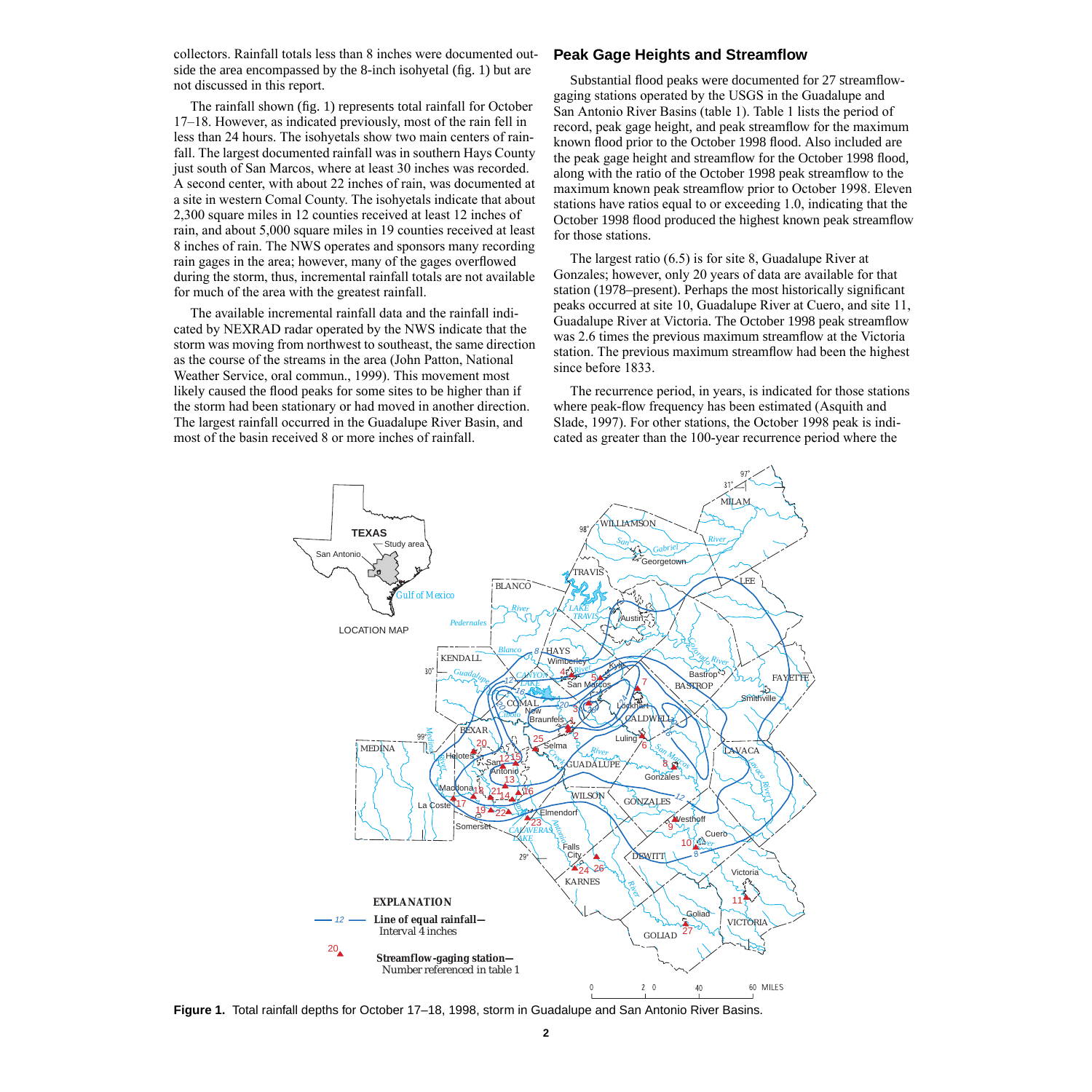collectors. Rainfall totals less than 8 inches were documented outside the area encompassed by the 8-inch isohyetal (fig. 1) but are not discussed in this report.

The rainfall shown (fig. 1) represents total rainfall for October 17–18. However, as indicated previously, most of the rain fell in less than 24 hours. The isohyetals show two main centers of rainfall. The largest documented rainfall was in southern Hays County just south of San Marcos, where at least 30 inches was recorded. A second center, with about 22 inches of rain, was documented at a site in western Comal County. The isohyetals indicate that about 2,300 square miles in 12 counties received at least 12 inches of rain, and about 5,000 square miles in 19 counties received at least 8 inches of rain. The NWS operates and sponsors many recording rain gages in the area; however, many of the gages overflowed during the storm, thus, incremental rainfall totals are not available for much of the area with the greatest rainfall.

The available incremental rainfall data and the rainfall indicated by NEXRAD radar operated by the NWS indicate that the storm was moving from northwest to southeast, the same direction as the course of the streams in the area (John Patton, National Weather Service, oral commun., 1999). This movement most likely caused the flood peaks for some sites to be higher than if the storm had been stationary or had moved in another direction. The largest rainfall occurred in the Guadalupe River Basin, and most of the basin received 8 or more inches of rainfall.

#### **Peak Gage Heights and Streamflow**

Substantial flood peaks were documented for 27 streamflowgaging stations operated by the USGS in the Guadalupe and San Antonio River Basins (table 1). Table 1 lists the period of record, peak gage height, and peak streamflow for the maximum known flood prior to the October 1998 flood. Also included are the peak gage height and streamflow for the October 1998 flood, along with the ratio of the October 1998 peak streamflow to the maximum known peak streamflow prior to October 1998. Eleven stations have ratios equal to or exceeding 1.0, indicating that the October 1998 flood produced the highest known peak streamflow for those stations.

The largest ratio (6.5) is for site 8, Guadalupe River at Gonzales; however, only 20 years of data are available for that station (1978–present). Perhaps the most historically significant peaks occurred at site 10, Guadalupe River at Cuero, and site 11, Guadalupe River at Victoria. The October 1998 peak streamflow was 2.6 times the previous maximum streamflow at the Victoria station. The previous maximum streamflow had been the highest since before 1833.

The recurrence period, in years, is indicated for those stations where peak-flow frequency has been estimated (Asquith and Slade, 1997). For other stations, the October 1998 peak is indicated as greater than the 100-year recurrence period where the



**Figure 1.** Total rainfall depths for October 17–18, 1998, storm in Guadalupe and San Antonio River Basins.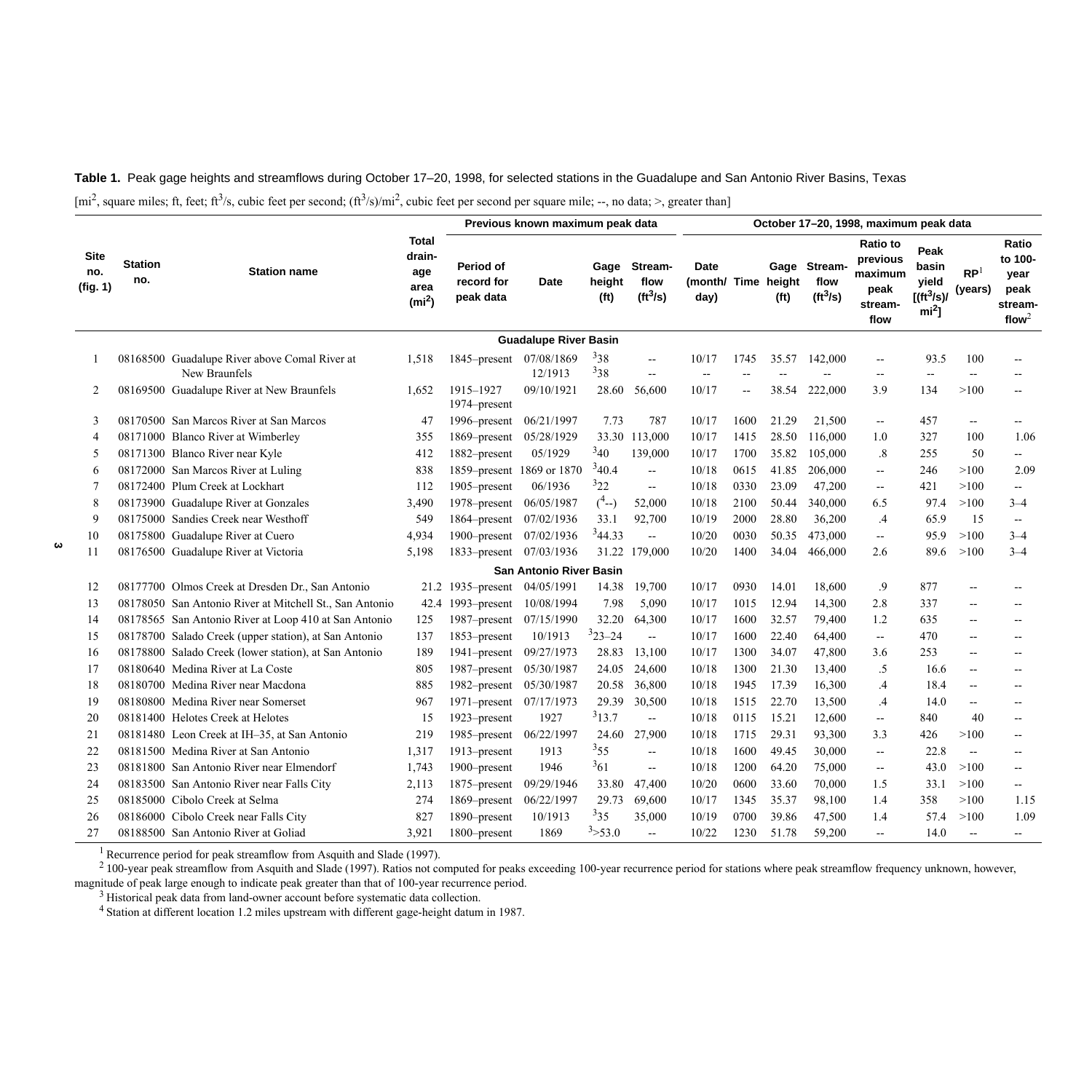**Table 1.** Peak gage heights and streamflows during October 17–20, 1998, for selected stations in the Guadalupe and San Antonio River Basins, Texas

 $[mi^2]$ , square miles; ft, feet; ft<sup>3</sup>/s, cubic feet per second;  $(ft^3/s)/mi^2$ , cubic feet per second per square mile; --, no data; >, greater than

| <b>Site</b><br>no.<br>(fig. 1) | <b>Station</b><br>no. | <b>Station name</b>                                            |                                                            | Previous known maximum peak data     |                                |                             |                                              | October 17-20, 1998, maximum peak data |            |                             |                                    |                                                                   |                                                             |                            |                                                                  |
|--------------------------------|-----------------------|----------------------------------------------------------------|------------------------------------------------------------|--------------------------------------|--------------------------------|-----------------------------|----------------------------------------------|----------------------------------------|------------|-----------------------------|------------------------------------|-------------------------------------------------------------------|-------------------------------------------------------------|----------------------------|------------------------------------------------------------------|
|                                |                       |                                                                | <b>Total</b><br>drain-<br>age<br>area<br>(m <sup>2</sup> ) | Period of<br>record for<br>peak data | Date                           | height<br>(f <sup>t</sup> ) | Gage Stream-<br>flow<br>(tf <sup>3</sup> /s) | Date<br>(month/ Time<br>day)           |            | height<br>(f <sup>t</sup> ) | Gage Stream-<br>flow<br>$(ft^3/s)$ | <b>Ratio to</b><br>previous<br>maximum<br>peak<br>stream-<br>flow | Peak<br>basin<br>yield<br>[(ft <sup>3</sup> /s)/<br>$mi2$ ] | RP <sup>1</sup><br>(years) | Ratio<br>to 100-<br>year<br>peak<br>stream-<br>flow <sup>2</sup> |
|                                |                       |                                                                |                                                            |                                      | <b>Guadalupe River Basin</b>   |                             |                                              |                                        |            |                             |                                    |                                                                   |                                                             |                            |                                                                  |
|                                |                       | 08168500 Guadalupe River above Comal River at<br>New Braunfels | 1,518                                                      | 1845–present                         | 07/08/1869<br>12/1913          | 338<br>338                  | $\overline{\phantom{a}}$<br>$\mathbf{u}$     | 10/17<br>$\overline{\phantom{a}}$      | 1745<br>-- | 35.57<br>$\sim$             | 142,000                            | $\overline{\phantom{a}}$<br>$\overline{\phantom{a}}$              | 93.5<br>$\overline{\phantom{a}}$                            | 100<br>$\overline{a}$      | --                                                               |
| $\overline{2}$                 |                       | 08169500 Guadalupe River at New Braunfels                      | 1.652                                                      | 1915-1927<br>1974–present            | 09/10/1921                     | 28.60                       | 56,600                                       | 10/17                                  | -−         | 38.54                       | 222,000                            | 3.9                                                               | 134                                                         | >100                       | $\overline{a}$                                                   |
| 3                              |                       | 08170500 San Marcos River at San Marcos                        | 47                                                         | 1996–present                         | 06/21/1997                     | 7.73                        | 787                                          | 10/17                                  | 1600       | 21.29                       | 21,500                             | $\overline{\phantom{a}}$                                          | 457                                                         | --                         | $- -$                                                            |
| $\overline{4}$                 |                       | 08171000 Blanco River at Wimberley                             | 355                                                        | 1869-present                         | 05/28/1929                     | 33.30                       | 113,000                                      | 10/17                                  | 1415       | 28.50                       | 116,000                            | 1.0                                                               | 327                                                         | 100                        | 1.06                                                             |
| 5                              |                       | 08171300 Blanco River near Kyle                                | 412                                                        | 1882-present                         | 05/1929                        | $3_{40}$                    | 139,000                                      | 10/17                                  | 1700       | 35.82                       | 105,000                            | $\cdot$ 8                                                         | 255                                                         | 50                         | н.                                                               |
| 6                              |                       | 08172000 San Marcos River at Luling                            | 838                                                        | 1859-present                         | 1869 or 1870                   | 340.4                       | $\sim$                                       | 10/18                                  | 0615       | 41.85                       | 206,000                            | $\mathbf{u}$                                                      | 246                                                         | >100                       | 2.09                                                             |
| 7                              |                       | 08172400 Plum Creek at Lockhart                                | 112                                                        | 1905–present                         | 06/1936                        | 322                         | $\sim$                                       | 10/18                                  | 0330       | 23.09                       | 47,200                             | $\mathbf{u}$                                                      | 421                                                         | >100                       | $\overline{a}$                                                   |
| 8                              |                       | 08173900 Guadalupe River at Gonzales                           | 3,490                                                      | 1978–present                         | 06/05/1987                     | $(^{4}-)$                   | 52,000                                       | 10/18                                  | 2100       | 50.44                       | 340,000                            | 6.5                                                               | 97.4                                                        | >100                       | $3 - 4$                                                          |
| 9                              |                       | 08175000 Sandies Creek near Westhoff                           | 549                                                        | 1864–present                         | 07/02/1936                     | 33.1                        | 92,700                                       | 10/19                                  | 2000       | 28.80                       | 36,200                             | .4                                                                | 65.9                                                        | 15                         | $\mathbf{u}$                                                     |
| 10                             |                       | 08175800 Guadalupe River at Cuero                              | 4,934                                                      | 1900-present                         | 07/02/1936                     | 344.33                      | $\overline{\phantom{a}}$                     | 10/20                                  | 0030       | 50.35                       | 473,000                            | $\overline{\phantom{a}}$                                          | 95.9                                                        | >100                       | $3 - 4$                                                          |
| 11                             |                       | 08176500 Guadalupe River at Victoria                           | 5,198                                                      | 1833–present                         | 07/03/1936                     |                             | 31.22 179,000                                | 10/20                                  | 1400       | 34.04                       | 466,000                            | 2.6                                                               | 89.6                                                        | >100                       | $3 - 4$                                                          |
|                                |                       |                                                                |                                                            |                                      | <b>San Antonio River Basin</b> |                             |                                              |                                        |            |                             |                                    |                                                                   |                                                             |                            |                                                                  |
| 12                             |                       | 08177700 Olmos Creek at Dresden Dr., San Antonio               |                                                            | 21.2 1935-present                    | 04/05/1991                     | 14.38                       | 19,700                                       | 10/17                                  | 0930       | 14.01                       | 18,600                             | .9                                                                | 877                                                         | $-$                        | --                                                               |
| 13                             |                       | 08178050 San Antonio River at Mitchell St., San Antonio        | 42.4                                                       | 1993–present                         | 10/08/1994                     | 7.98                        | 5,090                                        | 10/17                                  | 1015       | 12.94                       | 14,300                             | 2.8                                                               | 337                                                         | $\overline{\phantom{a}}$   | $- -$                                                            |
| 14                             |                       | 08178565 San Antonio River at Loop 410 at San Antonio          | 125                                                        | 1987-present                         | 07/15/1990                     | 32.20                       | 64,300                                       | 10/17                                  | 1600       | 32.57                       | 79,400                             | 1.2                                                               | 635                                                         | $-$                        | $-$                                                              |
| 15                             |                       | 08178700 Salado Creek (upper station), at San Antonio          | 137                                                        | 1853-present                         | 10/1913                        | $323 - 24$                  | $\overline{\phantom{a}}$                     | 10/17                                  | 1600       | 22.40                       | 64,400                             | $\overline{a}$                                                    | 470                                                         | $\overline{\phantom{a}}$   | $-$                                                              |
| 16                             |                       | 08178800 Salado Creek (lower station), at San Antonio          | 189                                                        | 1941-present                         | 09/27/1973                     | 28.83                       | 13.100                                       | 10/17                                  | 1300       | 34.07                       | 47,800                             | 3.6                                                               | 253                                                         | $\overline{\phantom{a}}$   | $-$                                                              |
| 17                             |                       | 08180640 Medina River at La Coste                              | 805                                                        | 1987-present                         | 05/30/1987                     | 24.05                       | 24,600                                       | 10/18                                  | 1300       | 21.30                       | 13,400                             | .5                                                                | 16.6                                                        | $- -$                      | $\overline{a}$                                                   |
| 18                             |                       | 08180700 Medina River near Macdona                             | 885                                                        | 1982-present                         | 05/30/1987                     | 20.58                       | 36,800                                       | 10/18                                  | 1945       | 17.39                       | 16,300                             | $\mathcal{A}$                                                     | 18.4                                                        | $\overline{\phantom{a}}$   | $\overline{a}$                                                   |
| 19                             |                       | 08180800 Medina River near Somerset                            | 967                                                        | 1971–present                         | 07/17/1973                     | 29.39                       | 30,500                                       | 10/18                                  | 1515       | 22.70                       | 13,500                             | $\mathcal{A}$                                                     | 14.0                                                        | $\overline{\phantom{a}}$   | $\overline{a}$                                                   |
| 20                             |                       | 08181400 Helotes Creek at Helotes                              | 15                                                         | 1923-present                         | 1927                           | $3_{13.7}$                  | $\overline{a}$                               | 10/18                                  | 0115       | 15.21                       | 12,600                             | $\mathbf{u}$                                                      | 840                                                         | 40                         | $\overline{a}$                                                   |
| 21                             |                       | 08181480 Leon Creek at IH-35, at San Antonio                   | 219                                                        | 1985-present                         | 06/22/1997                     | 24.60                       | 27,900                                       | 10/18                                  | 1715       | 29.31                       | 93,300                             | 3.3                                                               | 426                                                         | >100                       | $-$                                                              |
| 22                             |                       | 08181500 Medina River at San Antonio                           | 1,317                                                      | 1913-present                         | 1913                           | $3_{55}$                    | $\mathbf{u}$                                 | 10/18                                  | 1600       | 49.45                       | 30,000                             | $\mathbf{u}$                                                      | 22.8                                                        | $\overline{\phantom{a}}$   | $- -$                                                            |
| 23                             |                       | 08181800 San Antonio River near Elmendorf                      | 1,743                                                      | 1900-present                         | 1946                           | 361                         | $\mathbf{u}$                                 | 10/18                                  | 1200       | 64.20                       | 75,000                             | $\overline{\phantom{a}}$                                          | 43.0                                                        | >100                       | -−                                                               |
| 24                             |                       | 08183500 San Antonio River near Falls City                     | 2,113                                                      | 1875–present                         | 09/29/1946                     | 33.80                       | 47,400                                       | 10/20                                  | 0600       | 33.60                       | 70,000                             | 1.5                                                               | 33.1                                                        | >100                       | $\overline{a}$                                                   |
| 25                             |                       | 08185000 Cibolo Creek at Selma                                 | 274                                                        | 1869-present                         | 06/22/1997                     | 29.73                       | 69,600                                       | 10/17                                  | 1345       | 35.37                       | 98,100                             | 1.4                                                               | 358                                                         | >100                       | 1.15                                                             |
| 26                             |                       | 08186000 Cibolo Creek near Falls City                          | 827                                                        | 1890–present                         | 10/1913                        | 335                         | 35,000                                       | 10/19                                  | 0700       | 39.86                       | 47,500                             | 1.4                                                               | 57.4                                                        | >100                       | 1.09                                                             |
| 27                             |                       | 08188500 San Antonio River at Goliad                           | 3,921                                                      | 1800-present                         | 1869                           | 3 > 53.0                    | $\mathbf{u}$                                 | 10/22                                  | 1230       | 51.78                       | 59.200                             | $\overline{\phantom{a}}$                                          | 14.0                                                        | $\sim$ $\sim$              | $\overline{a}$                                                   |

**3**

<sup>1</sup> Recurrence period for peak streamflow from Asquith and Slade (1997).<br><sup>2</sup> 100-year peak streamflow from Asquith and Slade (1997). Ratios not computed for peaks exceeding 100-year recurrence period for stations where pea magnitude of peak large enough to indicate peak greater than that of 100-year recurrence period.

 $3$  Historical peak data from land-owner account before systematic data collection.

<sup>4</sup> Station at different location 1.2 miles upstream with different gage-height datum in 1987.